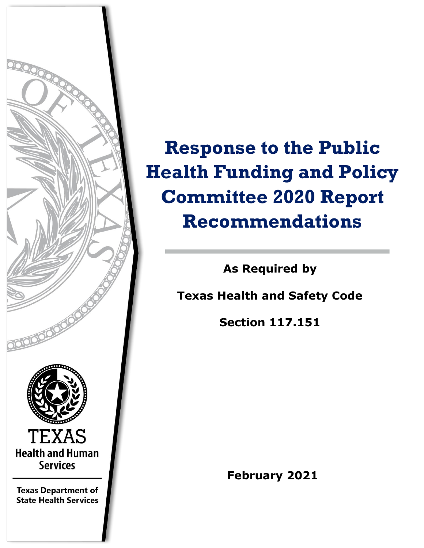

# **Response to the Public Health Funding and Policy Committee 2020 Report Recommendations**

**As Required by**

**Texas Health and Safety Code** 

**Section 117.151** 

**February 2021**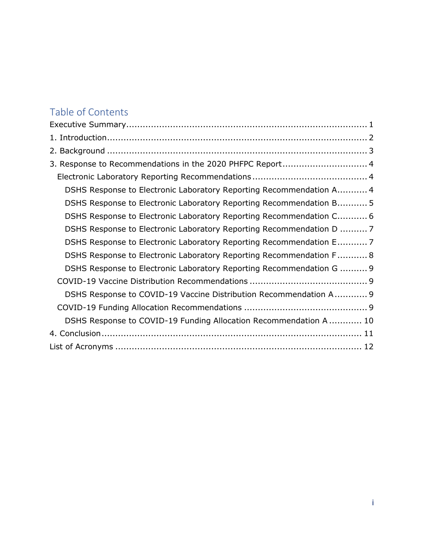### Table of Contents

| 3. Response to Recommendations in the 2020 PHFPC Report 4            |
|----------------------------------------------------------------------|
|                                                                      |
| DSHS Response to Electronic Laboratory Reporting Recommendation A 4  |
| DSHS Response to Electronic Laboratory Reporting Recommendation B 5  |
| DSHS Response to Electronic Laboratory Reporting Recommendation C 6  |
| DSHS Response to Electronic Laboratory Reporting Recommendation D  7 |
| DSHS Response to Electronic Laboratory Reporting Recommendation E 7  |
| DSHS Response to Electronic Laboratory Reporting Recommendation F 8  |
| DSHS Response to Electronic Laboratory Reporting Recommendation G  9 |
|                                                                      |
| DSHS Response to COVID-19 Vaccine Distribution Recommendation A 9    |
|                                                                      |
| DSHS Response to COVID-19 Funding Allocation Recommendation A  10    |
|                                                                      |
|                                                                      |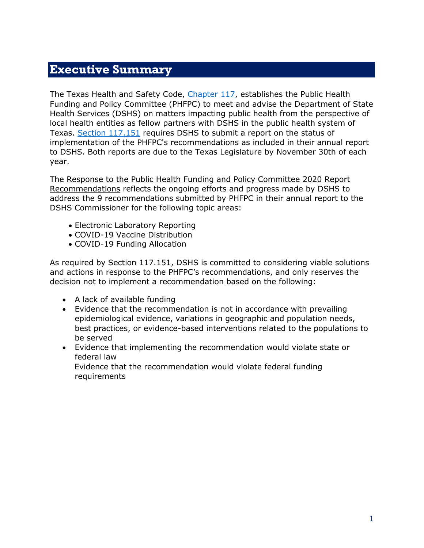### <span id="page-2-0"></span>**Executive Summary**

The Texas Health and Safety Code, [Chapter 117,](https://statutes.capitol.texas.gov/Docs/HS/pdf/HS.117.pdf) establishes the Public Health Funding and Policy Committee (PHFPC) to meet and advise the Department of State Health Services (DSHS) on matters impacting public health from the perspective of local health entities as fellow partners with DSHS in the public health system of Texas. [Section 117.151](https://statutes.capitol.texas.gov/Docs/HS/htm/HS.117.htm) requires DSHS to submit a report on the status of implementation of the PHFPC's recommendations as included in their annual report to DSHS. Both reports are due to the Texas Legislature by November 30th of each year.

The Response to the Public Health Funding and Policy Committee 2020 Report Recommendations reflects the ongoing efforts and progress made by DSHS to address the 9 recommendations submitted by PHFPC in their annual report to the DSHS Commissioner for the following topic areas:

- Electronic Laboratory Reporting
- COVID-19 Vaccine Distribution
- COVID-19 Funding Allocation

As required by Section 117.151, DSHS is committed to considering viable solutions and actions in response to the PHFPC's recommendations, and only reserves the decision not to implement a recommendation based on the following:

- A lack of available funding
- Evidence that the recommendation is not in accordance with prevailing epidemiological evidence, variations in geographic and population needs, best practices, or evidence-based interventions related to the populations to be served
- Evidence that implementing the recommendation would violate state or federal law Evidence that the recommendation would violate federal funding

<span id="page-2-1"></span>requirements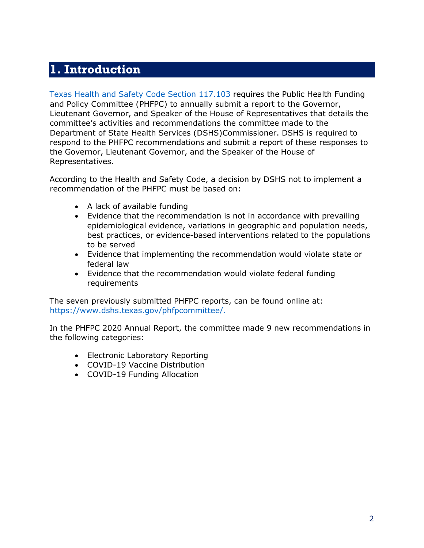# **1. Introduction**

[Texas Health and Safety Code Section 117.103](https://statutes.capitol.texas.gov/Docs/HS/htm/HS.117.htm) requires the Public Health Funding and Policy Committee (PHFPC) to annually submit a report to the Governor, Lieutenant Governor, and Speaker of the House of Representatives that details the committee's activities and recommendations the committee made to the Department of State Health Services (DSHS)Commissioner. DSHS is required to respond to the PHFPC recommendations and submit a report of these responses to the Governor, Lieutenant Governor, and the Speaker of the House of Representatives.

According to the Health and Safety Code, a decision by DSHS not to implement a recommendation of the PHFPC must be based on:

- A lack of available funding
- Evidence that the recommendation is not in accordance with prevailing epidemiological evidence, variations in geographic and population needs, best practices, or evidence-based interventions related to the populations to be served
- Evidence that implementing the recommendation would violate state or federal law
- Evidence that the recommendation would violate federal funding requirements

The seven previously submitted PHFPC reports, can be found online at: [https://www.dshs.texas.gov/phfpcommittee/.](https://www.dshs.texas.gov/phfpcommittee/)

In the PHFPC 2020 Annual Report, the committee made 9 new recommendations in the following categories:

- Electronic Laboratory Reporting
- COVID-19 Vaccine Distribution
- <span id="page-3-0"></span>• COVID-19 Funding Allocation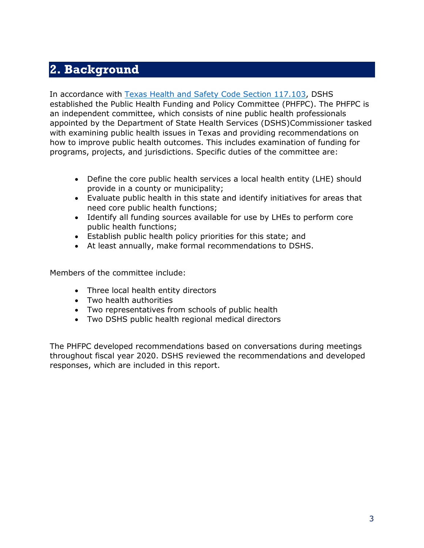# **2. Background**

In accordance with [Texas Health and Safety Code Section 117.103,](https://statutes.capitol.texas.gov/Docs/HS/htm/HS.117.htm) DSHS established the Public Health Funding and Policy Committee (PHFPC). The PHFPC is an independent committee, which consists of nine public health professionals appointed by the Department of State Health Services (DSHS)Commissioner tasked with examining public health issues in Texas and providing recommendations on how to improve public health outcomes. This includes examination of funding for programs, projects, and jurisdictions. Specific duties of the committee are:

- Define the core public health services a local health entity (LHE) should provide in a county or municipality;
- Evaluate public health in this state and identify initiatives for areas that need core public health functions;
- Identify all funding sources available for use by LHEs to perform core public health functions;
- Establish public health policy priorities for this state; and
- At least annually, make formal recommendations to DSHS.

Members of the committee include:

- Three local health entity directors
- Two health authorities
- Two representatives from schools of public health
- Two DSHS public health regional medical directors

<span id="page-4-0"></span>The PHFPC developed recommendations based on conversations during meetings throughout fiscal year 2020. DSHS reviewed the recommendations and developed responses, which are included in this report.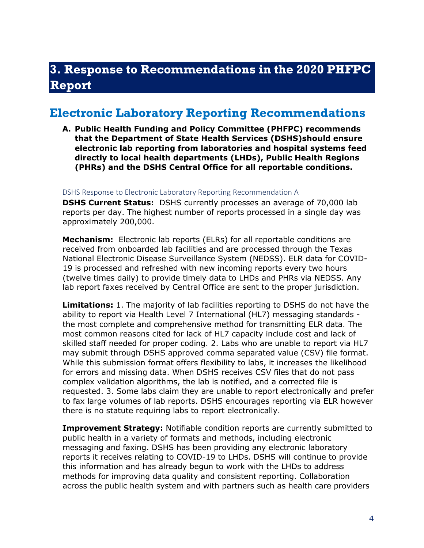# **3. Response to Recommendations in the 2020 PHFPC Report**

### <span id="page-5-0"></span>**Electronic Laboratory Reporting Recommendations**

**A. Public Health Funding and Policy Committee (PHFPC) recommends that the Department of State Health Services (DSHS)should ensure electronic lab reporting from laboratories and hospital systems feed directly to local health departments (LHDs), Public Health Regions (PHRs) and the DSHS Central Office for all reportable conditions.** 

<span id="page-5-1"></span>DSHS Response to Electronic Laboratory Reporting Recommendation A

**DSHS Current Status:** DSHS currently processes an average of 70,000 lab reports per day. The highest number of reports processed in a single day was approximately 200,000.

**Mechanism:** Electronic lab reports (ELRs) for all reportable conditions are received from onboarded lab facilities and are processed through the Texas National Electronic Disease Surveillance System (NEDSS). ELR data for COVID-19 is processed and refreshed with new incoming reports every two hours (twelve times daily) to provide timely data to LHDs and PHRs via NEDSS. Any lab report faxes received by Central Office are sent to the proper jurisdiction.

**Limitations:** 1. The majority of lab facilities reporting to DSHS do not have the ability to report via Health Level 7 International (HL7) messaging standards the most complete and comprehensive method for transmitting ELR data. The most common reasons cited for lack of HL7 capacity include cost and lack of skilled staff needed for proper coding. 2. Labs who are unable to report via HL7 may submit through DSHS approved comma separated value (CSV) file format. While this submission format offers flexibility to labs, it increases the likelihood for errors and missing data. When DSHS receives CSV files that do not pass complex validation algorithms, the lab is notified, and a corrected file is requested. 3. Some labs claim they are unable to report electronically and prefer to fax large volumes of lab reports. DSHS encourages reporting via ELR however there is no statute requiring labs to report electronically.

**Improvement Strategy:** Notifiable condition reports are currently submitted to public health in a variety of formats and methods, including electronic messaging and faxing. DSHS has been providing any electronic laboratory reports it receives relating to COVID-19 to LHDs. DSHS will continue to provide this information and has already begun to work with the LHDs to address methods for improving data quality and consistent reporting. Collaboration across the public health system and with partners such as health care providers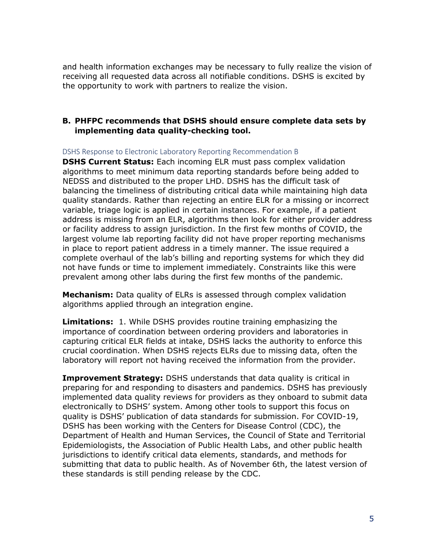and health information exchanges may be necessary to fully realize the vision of receiving all requested data across all notifiable conditions. DSHS is excited by the opportunity to work with partners to realize the vision.

#### **B. PHFPC recommends that DSHS should ensure complete data sets by implementing data quality-checking tool.**

<span id="page-6-0"></span>DSHS Response to Electronic Laboratory Reporting Recommendation B

**DSHS Current Status:** Each incoming ELR must pass complex validation algorithms to meet minimum data reporting standards before being added to NEDSS and distributed to the proper LHD. DSHS has the difficult task of balancing the timeliness of distributing critical data while maintaining high data quality standards. Rather than rejecting an entire ELR for a missing or incorrect variable, triage logic is applied in certain instances. For example, if a patient address is missing from an ELR, algorithms then look for either provider address or facility address to assign jurisdiction. In the first few months of COVID, the largest volume lab reporting facility did not have proper reporting mechanisms in place to report patient address in a timely manner. The issue required a complete overhaul of the lab's billing and reporting systems for which they did not have funds or time to implement immediately. Constraints like this were prevalent among other labs during the first few months of the pandemic.

**Mechanism:** Data quality of ELRs is assessed through complex validation algorithms applied through an integration engine.

**Limitations:** 1. While DSHS provides routine training emphasizing the importance of coordination between ordering providers and laboratories in capturing critical ELR fields at intake, DSHS lacks the authority to enforce this crucial coordination. When DSHS rejects ELRs due to missing data, often the laboratory will report not having received the information from the provider.

**Improvement Strategy:** DSHS understands that data quality is critical in preparing for and responding to disasters and pandemics. DSHS has previously implemented data quality reviews for providers as they onboard to submit data electronically to DSHS' system. Among other tools to support this focus on quality is DSHS' publication of data standards for submission. For COVID-19, DSHS has been working with the Centers for Disease Control (CDC), the Department of Health and Human Services, the Council of State and Territorial Epidemiologists, the Association of Public Health Labs, and other public health jurisdictions to identify critical data elements, standards, and methods for submitting that data to public health. As of November 6th, the latest version of these standards is still pending release by the CDC.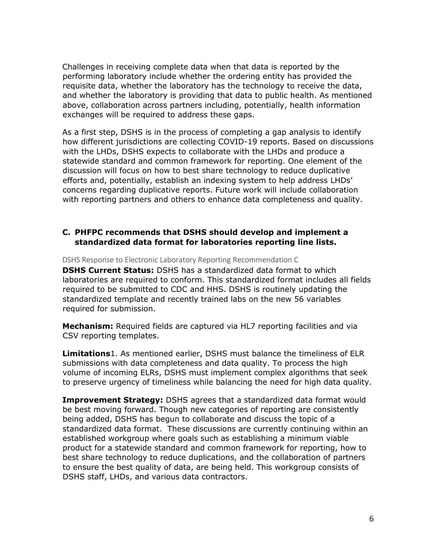Challenges in receiving complete data when that data is reported by the performing laboratory include whether the ordering entity has provided the requisite data, whether the laboratory has the technology to receive the data, and whether the laboratory is providing that data to public health. As mentioned above, collaboration across partners including, potentially, health information exchanges will be required to address these gaps.

As a first step, DSHS is in the process of completing a gap analysis to identify how different jurisdictions are collecting COVID-19 reports. Based on discussions with the LHDs, DSHS expects to collaborate with the LHDs and produce a statewide standard and common framework for reporting. One element of the discussion will focus on how to best share technology to reduce duplicative efforts and, potentially, establish an indexing system to help address LHDs' concerns regarding duplicative reports. Future work will include collaboration with reporting partners and others to enhance data completeness and quality.

#### **C. PHFPC recommends that DSHS should develop and implement a standardized data format for laboratories reporting line lists.**

#### <span id="page-7-0"></span>DSHS Response to Electronic Laboratory Reporting Recommendation C

**DSHS Current Status:** DSHS has a standardized data format to which laboratories are required to conform. This standardized format includes all fields required to be submitted to CDC and HHS. DSHS is routinely updating the standardized template and recently trained labs on the new 56 variables required for submission.

**Mechanism:** Required fields are captured via HL7 reporting facilities and via CSV reporting templates.

**Limitations**1. As mentioned earlier, DSHS must balance the timeliness of ELR submissions with data completeness and data quality. To process the high volume of incoming ELRs, DSHS must implement complex algorithms that seek to preserve urgency of timeliness while balancing the need for high data quality.

**Improvement Strategy:** DSHS agrees that a standardized data format would be best moving forward. Though new categories of reporting are consistently being added, DSHS has begun to collaborate and discuss the topic of a standardized data format. These discussions are currently continuing within an established workgroup where goals such as establishing a minimum viable product for a statewide standard and common framework for reporting, how to best share technology to reduce duplications, and the collaboration of partners to ensure the best quality of data, are being held. This workgroup consists of DSHS staff, LHDs, and various data contractors.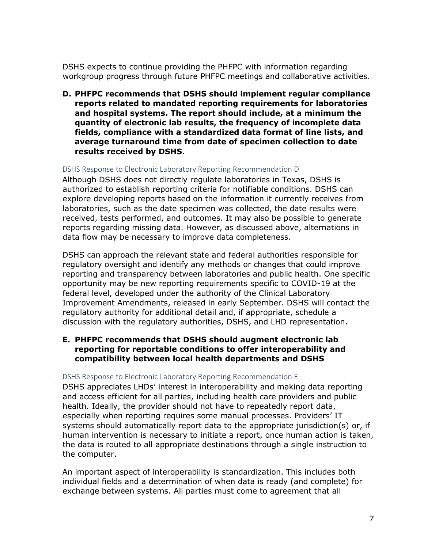DSHS expects to continue providing the PHFPC with information regarding workgroup progress through future PHFPC meetings and collaborative activities.

**D. PHFPC recommends that DSHS should implement regular compliance reports related to mandated reporting requirements for laboratories and hospital systems. The report should include, at a minimum the quantity of electronic lab results, the frequency of incomplete data fields, compliance with a standardized data format of line lists, and average turnaround time from date of specimen collection to date results received by DSHS.**

#### <span id="page-8-0"></span>DSHS Response to Electronic Laboratory Reporting Recommendation D

Although DSHS does not directly regulate laboratories in Texas, DSHS is authorized to establish reporting criteria for notifiable conditions. DSHS can explore developing reports based on the information it currently receives from laboratories, such as the date specimen was collected, the date results were received, tests performed, and outcomes. It may also be possible to generate reports regarding missing data. However, as discussed above, alternations in data flow may be necessary to improve data completeness.

DSHS can approach the relevant state and federal authorities responsible for regulatory oversight and identify any methods or changes that could improve reporting and transparency between laboratories and public health. One specific opportunity may be new reporting requirements specific to COVID-19 at the federal level, developed under the authority of the Clinical Laboratory Improvement Amendments, released in early September. DSHS will contact the regulatory authority for additional detail and, if appropriate, schedule a discussion with the regulatory authorities, DSHS, and LHD representation.

#### **E. PHFPC recommends that DSHS should augment electronic lab reporting for reportable conditions to offer interoperability and compatibility between local health departments and DSHS**

#### <span id="page-8-1"></span>DSHS Response to Electronic Laboratory Reporting Recommendation E

DSHS appreciates LHDs' interest in interoperability and making data reporting and access efficient for all parties, including health care providers and public health. Ideally, the provider should not have to repeatedly report data, especially when reporting requires some manual processes. Providers' IT systems should automatically report data to the appropriate jurisdiction(s) or, if human intervention is necessary to initiate a report, once human action is taken, the data is routed to all appropriate destinations through a single instruction to the computer.

An important aspect of interoperability is standardization. This includes both individual fields and a determination of when data is ready (and complete) for exchange between systems. All parties must come to agreement that all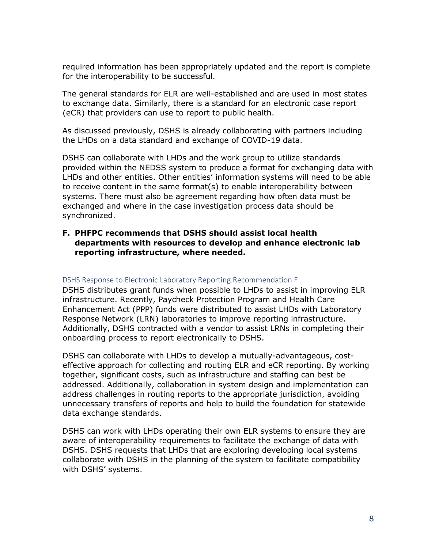required information has been appropriately updated and the report is complete for the interoperability to be successful.

The general standards for ELR are well-established and are used in most states to exchange data. Similarly, there is a standard for an electronic case report (eCR) that providers can use to report to public health.

As discussed previously, DSHS is already collaborating with partners including the LHDs on a data standard and exchange of COVID-19 data.

DSHS can collaborate with LHDs and the work group to utilize standards provided within the NEDSS system to produce a format for exchanging data with LHDs and other entities. Other entities' information systems will need to be able to receive content in the same format(s) to enable interoperability between systems. There must also be agreement regarding how often data must be exchanged and where in the case investigation process data should be synchronized.

#### **F. PHFPC recommends that DSHS should assist local health departments with resources to develop and enhance electronic lab reporting infrastructure, where needed.**

#### <span id="page-9-0"></span>DSHS Response to Electronic Laboratory Reporting Recommendation F

DSHS distributes grant funds when possible to LHDs to assist in improving ELR infrastructure. Recently, Paycheck Protection Program and Health Care Enhancement Act (PPP) funds were distributed to assist LHDs with Laboratory Response Network (LRN) laboratories to improve reporting infrastructure. Additionally, DSHS contracted with a vendor to assist LRNs in completing their onboarding process to report electronically to DSHS.

DSHS can collaborate with LHDs to develop a mutually-advantageous, costeffective approach for collecting and routing ELR and eCR reporting. By working together, significant costs, such as infrastructure and staffing can best be addressed. Additionally, collaboration in system design and implementation can address challenges in routing reports to the appropriate jurisdiction, avoiding unnecessary transfers of reports and help to build the foundation for statewide data exchange standards.

DSHS can work with LHDs operating their own ELR systems to ensure they are aware of interoperability requirements to facilitate the exchange of data with DSHS. DSHS requests that LHDs that are exploring developing local systems collaborate with DSHS in the planning of the system to facilitate compatibility with DSHS' systems.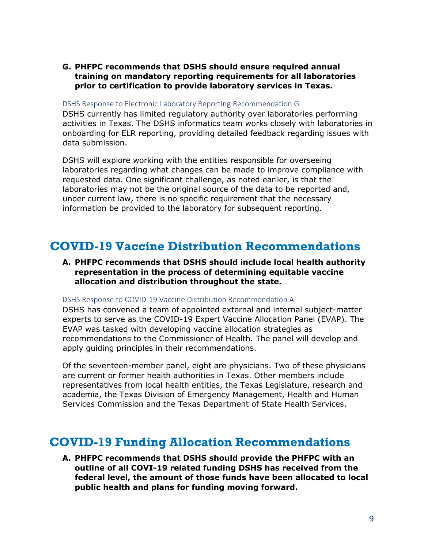#### **G. PHFPC recommends that DSHS should ensure required annual training on mandatory reporting requirements for all laboratories prior to certification to provide laboratory services in Texas.**

#### <span id="page-10-0"></span>DSHS Response to Electronic Laboratory Reporting Recommendation G

DSHS currently has limited regulatory authority over laboratories performing activities in Texas. The DSHS informatics team works closely with laboratories in onboarding for ELR reporting, providing detailed feedback regarding issues with data submission.

DSHS will explore working with the entities responsible for overseeing laboratories regarding what changes can be made to improve compliance with requested data. One significant challenge, as noted earlier, is that the laboratories may not be the original source of the data to be reported and, under current law, there is no specific requirement that the necessary information be provided to the laboratory for subsequent reporting.

### <span id="page-10-1"></span>**COVID-19 Vaccine Distribution Recommendations**

#### **A. PHFPC recommends that DSHS should include local health authority representation in the process of determining equitable vaccine allocation and distribution throughout the state.**

#### <span id="page-10-2"></span>DSHS Response to COVID-19 Vaccine Distribution Recommendation A

DSHS has convened a team of appointed external and internal subject-matter experts to serve as the COVID-19 Expert Vaccine Allocation Panel (EVAP). The EVAP was tasked with developing vaccine allocation strategies as recommendations to the Commissioner of Health. The panel will develop and apply guiding principles in their recommendations.

Of the seventeen-member panel, eight are physicians. Two of these physicians are current or former health authorities in Texas. Other members include representatives from local health entities, the Texas Legislature, research and academia, the Texas Division of Emergency Management, Health and Human Services Commission and the Texas Department of State Health Services.

### <span id="page-10-3"></span>**COVID-19 Funding Allocation Recommendations**

**A. PHFPC recommends that DSHS should provide the PHFPC with an outline of all COVI-19 related funding DSHS has received from the federal level, the amount of those funds have been allocated to local public health and plans for funding moving forward.**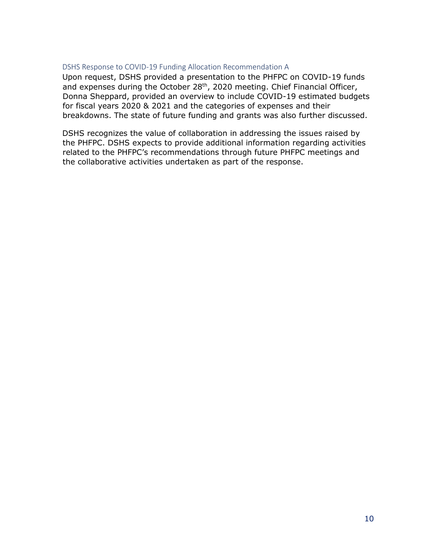#### <span id="page-11-0"></span>DSHS Response to COVID-19 Funding Allocation Recommendation A

Upon request, DSHS provided a presentation to the PHFPC on COVID-19 funds and expenses during the October 28<sup>th</sup>, 2020 meeting. Chief Financial Officer, Donna Sheppard, provided an overview to include COVID-19 estimated budgets for fiscal years 2020 & 2021 and the categories of expenses and their breakdowns. The state of future funding and grants was also further discussed.

<span id="page-11-1"></span>DSHS recognizes the value of collaboration in addressing the issues raised by the PHFPC. DSHS expects to provide additional information regarding activities related to the PHFPC's recommendations through future PHFPC meetings and the collaborative activities undertaken as part of the response.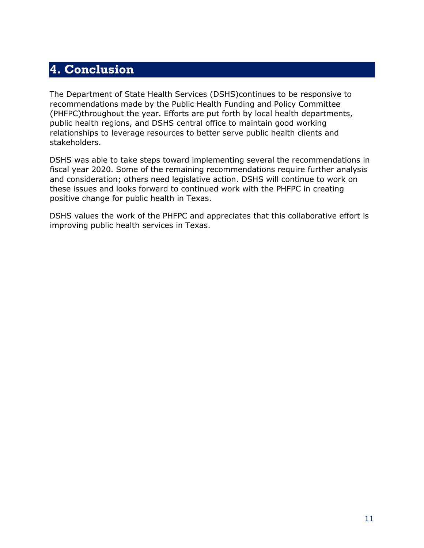## **4. Conclusion**

The Department of State Health Services (DSHS)continues to be responsive to recommendations made by the Public Health Funding and Policy Committee (PHFPC)throughout the year. Efforts are put forth by local health departments, public health regions, and DSHS central office to maintain good working relationships to leverage resources to better serve public health clients and stakeholders.

DSHS was able to take steps toward implementing several the recommendations in fiscal year 2020. Some of the remaining recommendations require further analysis and consideration; others need legislative action. DSHS will continue to work on these issues and looks forward to continued work with the PHFPC in creating positive change for public health in Texas.

DSHS values the work of the PHFPC and appreciates that this collaborative effort is improving public health services in Texas.